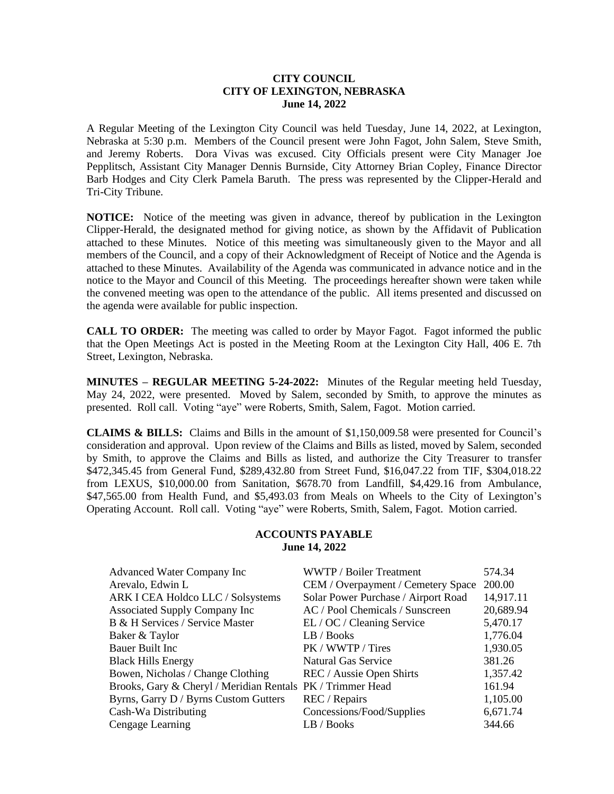### **CITY COUNCIL CITY OF LEXINGTON, NEBRASKA June 14, 2022**

A Regular Meeting of the Lexington City Council was held Tuesday, June 14, 2022, at Lexington, Nebraska at 5:30 p.m. Members of the Council present were John Fagot, John Salem, Steve Smith, and Jeremy Roberts. Dora Vivas was excused. City Officials present were City Manager Joe Pepplitsch, Assistant City Manager Dennis Burnside, City Attorney Brian Copley, Finance Director Barb Hodges and City Clerk Pamela Baruth. The press was represented by the Clipper-Herald and Tri-City Tribune.

**NOTICE:** Notice of the meeting was given in advance, thereof by publication in the Lexington Clipper-Herald, the designated method for giving notice, as shown by the Affidavit of Publication attached to these Minutes. Notice of this meeting was simultaneously given to the Mayor and all members of the Council, and a copy of their Acknowledgment of Receipt of Notice and the Agenda is attached to these Minutes. Availability of the Agenda was communicated in advance notice and in the notice to the Mayor and Council of this Meeting. The proceedings hereafter shown were taken while the convened meeting was open to the attendance of the public. All items presented and discussed on the agenda were available for public inspection.

**CALL TO ORDER:** The meeting was called to order by Mayor Fagot. Fagot informed the public that the Open Meetings Act is posted in the Meeting Room at the Lexington City Hall, 406 E. 7th Street, Lexington, Nebraska.

**MINUTES – REGULAR MEETING 5-24-2022:** Minutes of the Regular meeting held Tuesday, May 24, 2022, were presented. Moved by Salem, seconded by Smith, to approve the minutes as presented. Roll call. Voting "aye" were Roberts, Smith, Salem, Fagot. Motion carried.

**CLAIMS & BILLS:** Claims and Bills in the amount of \$1,150,009.58 were presented for Council's consideration and approval. Upon review of the Claims and Bills as listed, moved by Salem, seconded by Smith, to approve the Claims and Bills as listed, and authorize the City Treasurer to transfer \$472,345.45 from General Fund, \$289,432.80 from Street Fund, \$16,047.22 from TIF, \$304,018.22 from LEXUS, \$10,000.00 from Sanitation, \$678.70 from Landfill, \$4,429.16 from Ambulance, \$47,565.00 from Health Fund, and \$5,493.03 from Meals on Wheels to the City of Lexington's Operating Account. Roll call. Voting "aye" were Roberts, Smith, Salem, Fagot. Motion carried.

### **ACCOUNTS PAYABLE June 14, 2022**

| WWTP / Boiler Treatment                                    | 574.34    |
|------------------------------------------------------------|-----------|
| CEM / Overpayment / Cemetery Space                         | 200.00    |
| Solar Power Purchase / Airport Road                        | 14,917.11 |
| AC / Pool Chemicals / Sunscreen                            | 20,689.94 |
| EL / OC / Cleaning Service                                 | 5,470.17  |
| LB / Books                                                 | 1,776.04  |
| PK / WWTP / Tires                                          | 1,930.05  |
| Natural Gas Service                                        | 381.26    |
| REC / Aussie Open Shirts                                   | 1,357.42  |
| Brooks, Gary & Cheryl / Meridian Rentals PK / Trimmer Head | 161.94    |
| REC / Repairs                                              | 1,105.00  |
| Concessions/Food/Supplies                                  | 6,671.74  |
| LB / Books                                                 | 344.66    |
|                                                            |           |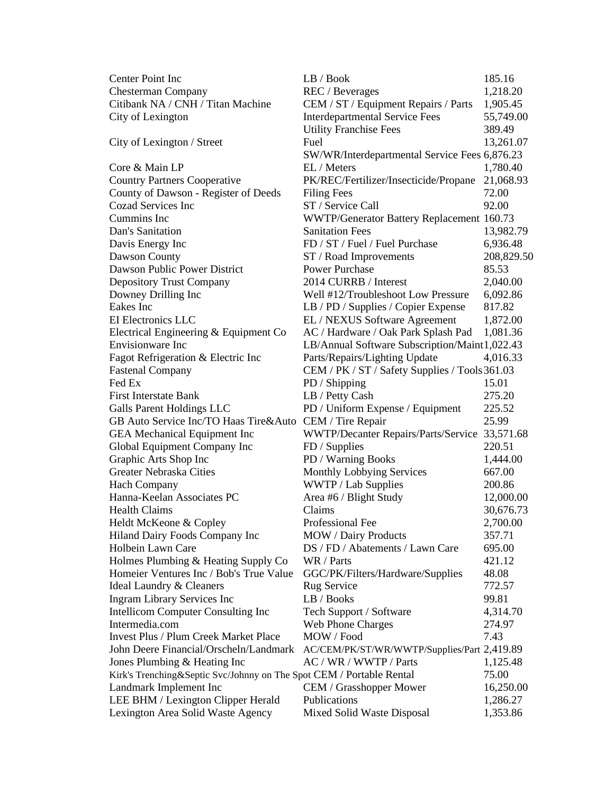| Center Point Inc                                                       | LB / Book                                      | 185.16     |
|------------------------------------------------------------------------|------------------------------------------------|------------|
| <b>Chesterman Company</b>                                              | REC / Beverages                                | 1,218.20   |
| Citibank NA / CNH / Titan Machine                                      | CEM / ST / Equipment Repairs / Parts           | 1,905.45   |
| City of Lexington                                                      | <b>Interdepartmental Service Fees</b>          | 55,749.00  |
|                                                                        | <b>Utility Franchise Fees</b>                  | 389.49     |
| City of Lexington / Street                                             | Fuel                                           | 13,261.07  |
|                                                                        | SW/WR/Interdepartmental Service Fees 6,876.23  |            |
| Core & Main LP                                                         | EL / Meters                                    | 1,780.40   |
| <b>Country Partners Cooperative</b>                                    | PK/REC/Fertilizer/Insecticide/Propane          | 21,068.93  |
| County of Dawson - Register of Deeds                                   | <b>Filing Fees</b>                             | 72.00      |
| Cozad Services Inc                                                     | ST / Service Call                              | 92.00      |
| Cummins Inc                                                            | WWTP/Generator Battery Replacement 160.73      |            |
| Dan's Sanitation                                                       | <b>Sanitation Fees</b>                         | 13,982.79  |
| Davis Energy Inc                                                       | FD / ST / Fuel / Fuel Purchase                 | 6,936.48   |
| Dawson County                                                          | ST / Road Improvements                         | 208,829.50 |
| Dawson Public Power District                                           | <b>Power Purchase</b>                          | 85.53      |
| <b>Depository Trust Company</b>                                        | 2014 CURRB / Interest                          | 2,040.00   |
| Downey Drilling Inc                                                    | Well #12/Troubleshoot Low Pressure             | 6,092.86   |
| Eakes Inc                                                              | LB / PD / Supplies / Copier Expense            | 817.82     |
| EI Electronics LLC                                                     | EL / NEXUS Software Agreement                  | 1,872.00   |
| Electrical Engineering & Equipment Co                                  | AC / Hardware / Oak Park Splash Pad            | 1,081.36   |
| Envisionware Inc                                                       | LB/Annual Software Subscription/Maint1,022.43  |            |
|                                                                        |                                                | 4,016.33   |
| Fagot Refrigeration & Electric Inc                                     | Parts/Repairs/Lighting Update                  |            |
| <b>Fastenal Company</b><br>Fed Ex                                      | CEM / PK / ST / Safety Supplies / Tools 361.03 |            |
|                                                                        | PD / Shipping                                  | 15.01      |
| <b>First Interstate Bank</b>                                           | LB / Petty Cash                                | 275.20     |
| Galls Parent Holdings LLC                                              | PD / Uniform Expense / Equipment               | 225.52     |
| GB Auto Service Inc/TO Haas Tire&Auto CEM / Tire Repair                |                                                | 25.99      |
| <b>GEA</b> Mechanical Equipment Inc                                    | WWTP/Decanter Repairs/Parts/Service 33,571.68  |            |
| Global Equipment Company Inc                                           | FD / Supplies                                  | 220.51     |
| Graphic Arts Shop Inc                                                  | PD / Warning Books                             | 1,444.00   |
| Greater Nebraska Cities                                                | <b>Monthly Lobbying Services</b>               | 667.00     |
| <b>Hach Company</b>                                                    | WWTP / Lab Supplies                            | 200.86     |
| Hanna-Keelan Associates PC                                             | Area #6 / Blight Study                         | 12,000.00  |
| <b>Health Claims</b>                                                   | Claims                                         | 30,676.73  |
| Heldt McKeone & Copley                                                 | Professional Fee                               | 2,700.00   |
| Hiland Dairy Foods Company Inc                                         | <b>MOW</b> / Dairy Products                    | 357.71     |
| Holbein Lawn Care                                                      | DS / FD / Abatements / Lawn Care               | 695.00     |
| Holmes Plumbing & Heating Supply Co                                    | WR / Parts                                     | 421.12     |
| Homeier Ventures Inc / Bob's True Value                                | GGC/PK/Filters/Hardware/Supplies               | 48.08      |
| Ideal Laundry & Cleaners                                               | <b>Rug Service</b>                             | 772.57     |
| Ingram Library Services Inc                                            | LB / Books                                     | 99.81      |
| Intellicom Computer Consulting Inc                                     | Tech Support / Software                        | 4,314.70   |
| Intermedia.com                                                         | <b>Web Phone Charges</b>                       | 274.97     |
| <b>Invest Plus / Plum Creek Market Place</b>                           | MOW / Food                                     | 7.43       |
| John Deere Financial/Orscheln/Landmark                                 | AC/CEM/PK/ST/WR/WWTP/Supplies/Part 2,419.89    |            |
| Jones Plumbing & Heating Inc                                           | AC / WR / WWTP / Parts                         | 1,125.48   |
| Kirk's Trenching & Septic Svc/Johnny on The Spot CEM / Portable Rental |                                                | 75.00      |
| Landmark Implement Inc                                                 | <b>CEM</b> / Grasshopper Mower                 | 16,250.00  |
| LEE BHM / Lexington Clipper Herald                                     | Publications                                   | 1,286.27   |
| Lexington Area Solid Waste Agency                                      | Mixed Solid Waste Disposal                     | 1,353.86   |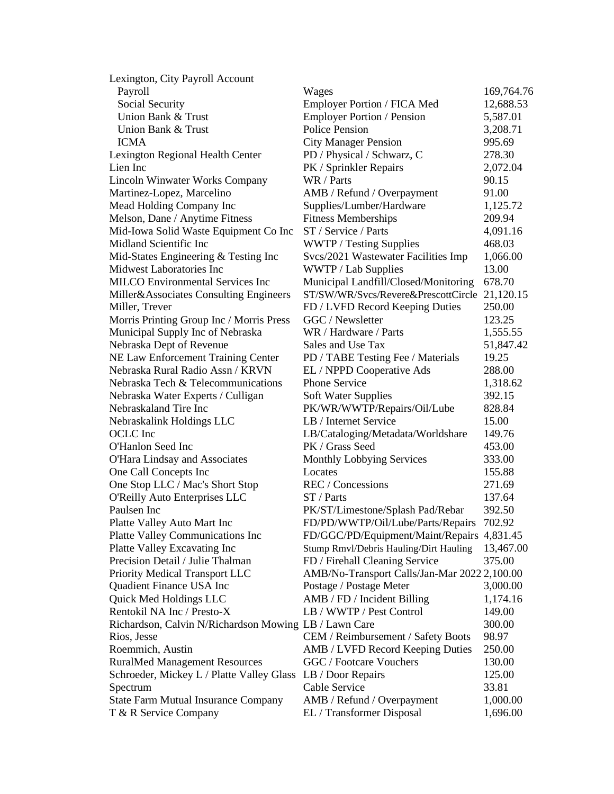| Lexington, City Payroll Account<br>Payroll            | Wages                                                | 169,764.76 |
|-------------------------------------------------------|------------------------------------------------------|------------|
| Social Security                                       | Employer Portion / FICA Med                          | 12,688.53  |
| Union Bank & Trust                                    | Employer Portion / Pension                           | 5,587.01   |
| Union Bank & Trust                                    | <b>Police Pension</b>                                | 3,208.71   |
| <b>ICMA</b>                                           |                                                      | 995.69     |
|                                                       | <b>City Manager Pension</b>                          | 278.30     |
| Lexington Regional Health Center<br>Lien Inc          | PD / Physical / Schwarz, C<br>PK / Sprinkler Repairs | 2,072.04   |
|                                                       | WR / Parts                                           |            |
| <b>Lincoln Winwater Works Company</b>                 |                                                      | 90.15      |
| Martinez-Lopez, Marcelino                             | AMB / Refund / Overpayment                           | 91.00      |
| Mead Holding Company Inc                              | Supplies/Lumber/Hardware                             | 1,125.72   |
| Melson, Dane / Anytime Fitness                        | <b>Fitness Memberships</b>                           | 209.94     |
| Mid-Iowa Solid Waste Equipment Co Inc                 | ST / Service / Parts                                 | 4,091.16   |
| Midland Scientific Inc                                | WWTP / Testing Supplies                              | 468.03     |
| Mid-States Engineering & Testing Inc                  | Svcs/2021 Wastewater Facilities Imp                  | 1,066.00   |
| Midwest Laboratories Inc                              | WWTP / Lab Supplies                                  | 13.00      |
| <b>MILCO</b> Environmental Services Inc               | Municipal Landfill/Closed/Monitoring                 | 678.70     |
| Miller&Associates Consulting Engineers                | ST/SW/WR/Svcs/Revere&PrescottCircle                  | 21,120.15  |
| Miller, Trever                                        | FD / LVFD Record Keeping Duties                      | 250.00     |
| Morris Printing Group Inc / Morris Press              | GGC / Newsletter                                     | 123.25     |
| Municipal Supply Inc of Nebraska                      | WR / Hardware / Parts                                | 1,555.55   |
| Nebraska Dept of Revenue                              | Sales and Use Tax                                    | 51,847.42  |
| NE Law Enforcement Training Center                    | PD / TABE Testing Fee / Materials                    | 19.25      |
| Nebraska Rural Radio Assn / KRVN                      | EL / NPPD Cooperative Ads                            | 288.00     |
| Nebraska Tech & Telecommunications                    | <b>Phone Service</b>                                 | 1,318.62   |
| Nebraska Water Experts / Culligan                     | <b>Soft Water Supplies</b>                           | 392.15     |
| Nebraskaland Tire Inc                                 | PK/WR/WWTP/Repairs/Oil/Lube                          | 828.84     |
| Nebraskalink Holdings LLC                             | LB / Internet Service                                | 15.00      |
| OCLC Inc                                              | LB/Cataloging/Metadata/Worldshare                    | 149.76     |
| O'Hanlon Seed Inc                                     | PK / Grass Seed                                      | 453.00     |
| O'Hara Lindsay and Associates                         | Monthly Lobbying Services                            | 333.00     |
| One Call Concepts Inc                                 | Locates                                              | 155.88     |
| One Stop LLC / Mac's Short Stop                       | REC / Concessions                                    | 271.69     |
| O'Reilly Auto Enterprises LLC                         | ST / Parts                                           | 137.64     |
| Paulsen Inc                                           | PK/ST/Limestone/Splash Pad/Rebar                     | 392.50     |
| Platte Valley Auto Mart Inc                           | FD/PD/WWTP/Oil/Lube/Parts/Repairs                    | 702.92     |
| Platte Valley Communications Inc                      | FD/GGC/PD/Equipment/Maint/Repairs                    | 4,831.45   |
| Platte Valley Excavating Inc                          | Stump Rmvl/Debris Hauling/Dirt Hauling               | 13,467.00  |
| Precision Detail / Julie Thalman                      | FD / Firehall Cleaning Service                       | 375.00     |
| Priority Medical Transport LLC                        | AMB/No-Transport Calls/Jan-Mar 2022 2,100.00         |            |
| Quadient Finance USA Inc                              | Postage / Postage Meter                              | 3,000.00   |
| Quick Med Holdings LLC                                | AMB / FD / Incident Billing                          | 1,174.16   |
| Rentokil NA Inc / Presto-X                            | LB / WWTP / Pest Control                             | 149.00     |
| Richardson, Calvin N/Richardson Mowing LB / Lawn Care |                                                      | 300.00     |
| Rios, Jesse                                           | CEM / Reimbursement / Safety Boots                   | 98.97      |
| Roemmich, Austin                                      | AMB / LVFD Record Keeping Duties                     | 250.00     |
| <b>RuralMed Management Resources</b>                  | GGC / Footcare Vouchers                              | 130.00     |
| Schroeder, Mickey L / Platte Valley Glass             | LB / Door Repairs                                    | 125.00     |
| Spectrum                                              | Cable Service                                        | 33.81      |
| <b>State Farm Mutual Insurance Company</b>            | AMB / Refund / Overpayment                           | 1,000.00   |
| T & R Service Company                                 | EL / Transformer Disposal                            | 1,696.00   |
|                                                       |                                                      |            |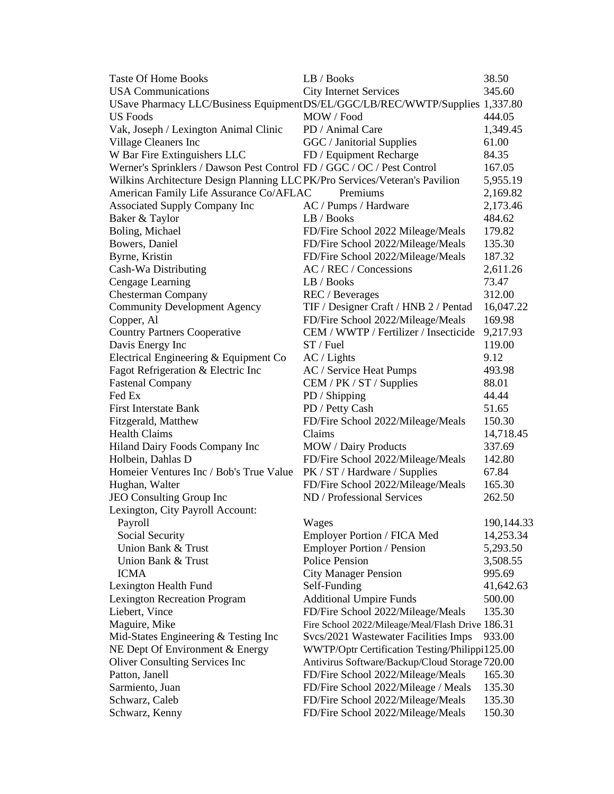| <b>Taste Of Home Books</b>                                                    | LB / Books                                       | 38.50      |
|-------------------------------------------------------------------------------|--------------------------------------------------|------------|
| <b>USA Communications</b>                                                     | <b>City Internet Services</b>                    | 345.60     |
| USave Pharmacy LLC/Business Equipment DS/EL/GGC/LB/REC/WWTP/Supplies 1,337.80 |                                                  |            |
| <b>US</b> Foods                                                               | MOW / Food                                       | 444.05     |
| Vak, Joseph / Lexington Animal Clinic                                         | PD / Animal Care                                 | 1,349.45   |
| Village Cleaners Inc                                                          | GGC / Janitorial Supplies                        | 61.00      |
| W Bar Fire Extinguishers LLC                                                  | FD / Equipment Recharge                          | 84.35      |
| Werner's Sprinklers / Dawson Pest Control FD / GGC / OC / Pest Control        |                                                  | 167.05     |
| Wilkins Architecture Design Planning LLCPK/Pro Services/Veteran's Pavilion    |                                                  | 5,955.19   |
| American Family Life Assurance Co/AFLAC                                       | Premiums                                         | 2,169.82   |
| <b>Associated Supply Company Inc</b>                                          | AC / Pumps / Hardware                            | 2,173.46   |
| Baker & Taylor                                                                | LB / Books                                       | 484.62     |
| Boling, Michael                                                               | FD/Fire School 2022 Mileage/Meals                | 179.82     |
| Bowers, Daniel                                                                | FD/Fire School 2022/Mileage/Meals                | 135.30     |
| Byrne, Kristin                                                                | FD/Fire School 2022/Mileage/Meals                | 187.32     |
| Cash-Wa Distributing                                                          | AC / REC / Concessions                           | 2,611.26   |
| Cengage Learning                                                              | LB / Books                                       | 73.47      |
| <b>Chesterman Company</b>                                                     | REC / Beverages                                  | 312.00     |
| <b>Community Development Agency</b>                                           | TIF / Designer Craft / HNB 2 / Pentad            | 16,047.22  |
| Copper, Al                                                                    | FD/Fire School 2022/Mileage/Meals                | 169.98     |
| <b>Country Partners Cooperative</b>                                           | CEM / WWTP / Fertilizer / Insecticide            | 9,217.93   |
| Davis Energy Inc                                                              | $ST /$ Fuel                                      | 119.00     |
| Electrical Engineering & Equipment Co                                         | AC / Lights                                      | 9.12       |
| Fagot Refrigeration & Electric Inc                                            | AC / Service Heat Pumps                          | 493.98     |
| <b>Fastenal Company</b>                                                       | CEM / PK / ST / Supplies                         | 88.01      |
| Fed Ex                                                                        | PD / Shipping                                    | 44.44      |
| <b>First Interstate Bank</b>                                                  | PD / Petty Cash                                  | 51.65      |
| Fitzgerald, Matthew                                                           | FD/Fire School 2022/Mileage/Meals                | 150.30     |
| <b>Health Claims</b>                                                          | Claims                                           | 14,718.45  |
| Hiland Dairy Foods Company Inc                                                | <b>MOW</b> / Dairy Products                      | 337.69     |
| Holbein, Dahlas D                                                             | FD/Fire School 2022/Mileage/Meals                | 142.80     |
| Homeier Ventures Inc / Bob's True Value                                       | PK / ST / Hardware / Supplies                    | 67.84      |
| Hughan, Walter                                                                | FD/Fire School 2022/Mileage/Meals                | 165.30     |
| JEO Consulting Group Inc                                                      | ND / Professional Services                       | 262.50     |
| Lexington, City Payroll Account:                                              |                                                  |            |
| Payroll                                                                       | Wages                                            | 190,144.33 |
| Social Security                                                               | Employer Portion / FICA Med                      | 14,253.34  |
| Union Bank & Trust                                                            | <b>Employer Portion / Pension</b>                | 5,293.50   |
| Union Bank & Trust                                                            | <b>Police Pension</b>                            | 3,508.55   |
| <b>ICMA</b>                                                                   | <b>City Manager Pension</b>                      | 995.69     |
| Lexington Health Fund                                                         | Self-Funding                                     | 41,642.63  |
| <b>Lexington Recreation Program</b>                                           | <b>Additional Umpire Funds</b>                   | 500.00     |
| Liebert, Vince                                                                | FD/Fire School 2022/Mileage/Meals                | 135.30     |
| Maguire, Mike                                                                 | Fire School 2022/Mileage/Meal/Flash Drive 186.31 |            |
| Mid-States Engineering & Testing Inc                                          | Svcs/2021 Wastewater Facilities Imps             | 933.00     |
| NE Dept Of Environment & Energy                                               | WWTP/Optr Certification Testing/Philippi125.00   |            |
| <b>Oliver Consulting Services Inc.</b>                                        | Antivirus Software/Backup/Cloud Storage 720.00   |            |
| Patton, Janell                                                                | FD/Fire School 2022/Mileage/Meals                | 165.30     |
| Sarmiento, Juan                                                               | FD/Fire School 2022/Mileage / Meals              | 135.30     |
| Schwarz, Caleb                                                                | FD/Fire School 2022/Mileage/Meals                | 135.30     |
| Schwarz, Kenny                                                                | FD/Fire School 2022/Mileage/Meals                | 150.30     |
|                                                                               |                                                  |            |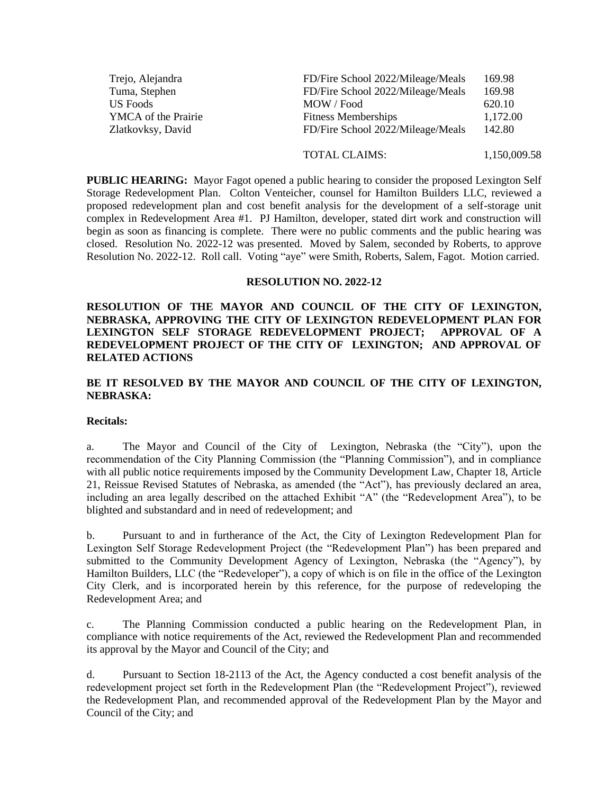| Trejo, Alejandra           | FD/Fire School 2022/Mileage/Meals | 169.98   |
|----------------------------|-----------------------------------|----------|
| Tuma, Stephen              | FD/Fire School 2022/Mileage/Meals | 169.98   |
| US Foods                   | MOW / Food                        | 620.10   |
| <b>YMCA</b> of the Prairie | <b>Fitness Memberships</b>        | 1,172.00 |
| Zlatkovksy, David          | FD/Fire School 2022/Mileage/Meals | 142.80   |
|                            |                                   |          |

# TOTAL CLAIMS: 1,150,009.58

**PUBLIC HEARING:** Mayor Fagot opened a public hearing to consider the proposed Lexington Self Storage Redevelopment Plan. Colton Venteicher, counsel for Hamilton Builders LLC, reviewed a proposed redevelopment plan and cost benefit analysis for the development of a self-storage unit complex in Redevelopment Area #1. PJ Hamilton, developer, stated dirt work and construction will begin as soon as financing is complete. There were no public comments and the public hearing was closed. Resolution No. 2022-12 was presented. Moved by Salem, seconded by Roberts, to approve Resolution No. 2022-12. Roll call. Voting "aye" were Smith, Roberts, Salem, Fagot. Motion carried.

#### **RESOLUTION NO. 2022-12**

**RESOLUTION OF THE MAYOR AND COUNCIL OF THE CITY OF LEXINGTON, NEBRASKA, APPROVING THE CITY OF LEXINGTON REDEVELOPMENT PLAN FOR LEXINGTON SELF STORAGE REDEVELOPMENT PROJECT; APPROVAL OF A REDEVELOPMENT PROJECT OF THE CITY OF LEXINGTON; AND APPROVAL OF RELATED ACTIONS**

# **BE IT RESOLVED BY THE MAYOR AND COUNCIL OF THE CITY OF LEXINGTON, NEBRASKA:**

#### **Recitals:**

a. The Mayor and Council of the City of Lexington, Nebraska (the "City"), upon the recommendation of the City Planning Commission (the "Planning Commission"), and in compliance with all public notice requirements imposed by the Community Development Law, Chapter 18, Article 21, Reissue Revised Statutes of Nebraska, as amended (the "Act"), has previously declared an area, including an area legally described on the attached Exhibit "A" (the "Redevelopment Area"), to be blighted and substandard and in need of redevelopment; and

b. Pursuant to and in furtherance of the Act, the City of Lexington Redevelopment Plan for Lexington Self Storage Redevelopment Project (the "Redevelopment Plan") has been prepared and submitted to the Community Development Agency of Lexington, Nebraska (the "Agency"), by Hamilton Builders, LLC (the "Redeveloper"), a copy of which is on file in the office of the Lexington City Clerk, and is incorporated herein by this reference, for the purpose of redeveloping the Redevelopment Area; and

c. The Planning Commission conducted a public hearing on the Redevelopment Plan, in compliance with notice requirements of the Act, reviewed the Redevelopment Plan and recommended its approval by the Mayor and Council of the City; and

d. Pursuant to Section 18-2113 of the Act, the Agency conducted a cost benefit analysis of the redevelopment project set forth in the Redevelopment Plan (the "Redevelopment Project"), reviewed the Redevelopment Plan, and recommended approval of the Redevelopment Plan by the Mayor and Council of the City; and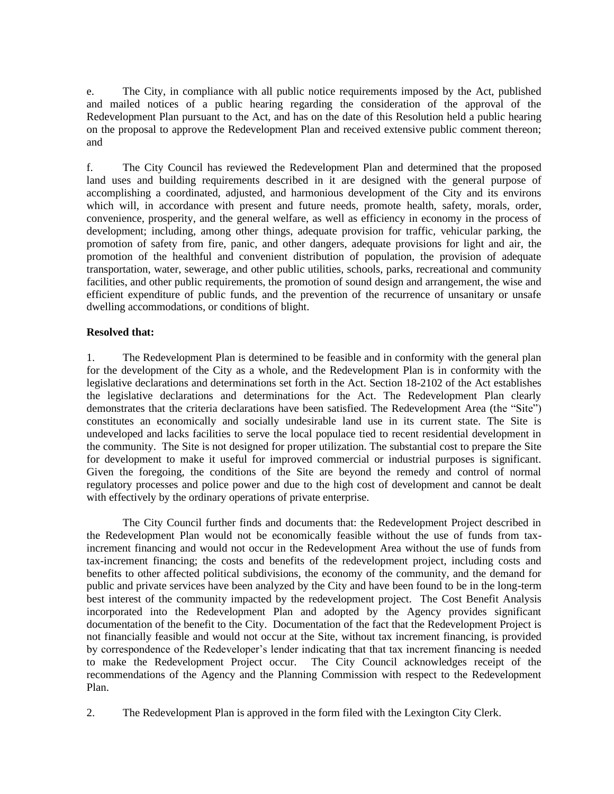e. The City, in compliance with all public notice requirements imposed by the Act, published and mailed notices of a public hearing regarding the consideration of the approval of the Redevelopment Plan pursuant to the Act, and has on the date of this Resolution held a public hearing on the proposal to approve the Redevelopment Plan and received extensive public comment thereon; and

f. The City Council has reviewed the Redevelopment Plan and determined that the proposed land uses and building requirements described in it are designed with the general purpose of accomplishing a coordinated, adjusted, and harmonious development of the City and its environs which will, in accordance with present and future needs, promote health, safety, morals, order, convenience, prosperity, and the general welfare, as well as efficiency in economy in the process of development; including, among other things, adequate provision for traffic, vehicular parking, the promotion of safety from fire, panic, and other dangers, adequate provisions for light and air, the promotion of the healthful and convenient distribution of population, the provision of adequate transportation, water, sewerage, and other public utilities, schools, parks, recreational and community facilities, and other public requirements, the promotion of sound design and arrangement, the wise and efficient expenditure of public funds, and the prevention of the recurrence of unsanitary or unsafe dwelling accommodations, or conditions of blight.

### **Resolved that:**

1. The Redevelopment Plan is determined to be feasible and in conformity with the general plan for the development of the City as a whole, and the Redevelopment Plan is in conformity with the legislative declarations and determinations set forth in the Act. Section 18-2102 of the Act establishes the legislative declarations and determinations for the Act. The Redevelopment Plan clearly demonstrates that the criteria declarations have been satisfied. The Redevelopment Area (the "Site") constitutes an economically and socially undesirable land use in its current state. The Site is undeveloped and lacks facilities to serve the local populace tied to recent residential development in the community. The Site is not designed for proper utilization. The substantial cost to prepare the Site for development to make it useful for improved commercial or industrial purposes is significant. Given the foregoing, the conditions of the Site are beyond the remedy and control of normal regulatory processes and police power and due to the high cost of development and cannot be dealt with effectively by the ordinary operations of private enterprise.

The City Council further finds and documents that: the Redevelopment Project described in the Redevelopment Plan would not be economically feasible without the use of funds from taxincrement financing and would not occur in the Redevelopment Area without the use of funds from tax-increment financing; the costs and benefits of the redevelopment project, including costs and benefits to other affected political subdivisions, the economy of the community, and the demand for public and private services have been analyzed by the City and have been found to be in the long-term best interest of the community impacted by the redevelopment project. The Cost Benefit Analysis incorporated into the Redevelopment Plan and adopted by the Agency provides significant documentation of the benefit to the City. Documentation of the fact that the Redevelopment Project is not financially feasible and would not occur at the Site, without tax increment financing, is provided by correspondence of the Redeveloper's lender indicating that that tax increment financing is needed to make the Redevelopment Project occur. The City Council acknowledges receipt of the recommendations of the Agency and the Planning Commission with respect to the Redevelopment Plan.

2. The Redevelopment Plan is approved in the form filed with the Lexington City Clerk.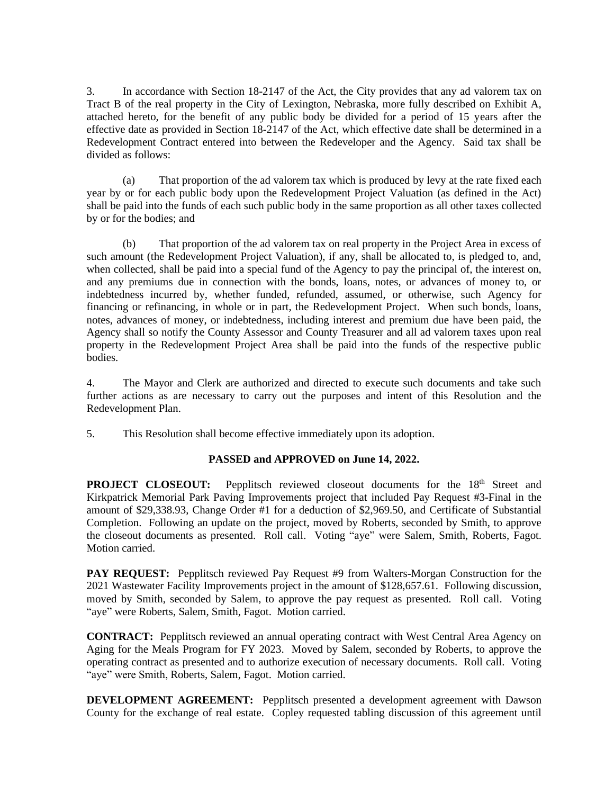3. In accordance with Section 18-2147 of the Act, the City provides that any ad valorem tax on Tract B of the real property in the City of Lexington, Nebraska, more fully described on Exhibit A, attached hereto, for the benefit of any public body be divided for a period of 15 years after the effective date as provided in Section 18-2147 of the Act, which effective date shall be determined in a Redevelopment Contract entered into between the Redeveloper and the Agency. Said tax shall be divided as follows:

(a) That proportion of the ad valorem tax which is produced by levy at the rate fixed each year by or for each public body upon the Redevelopment Project Valuation (as defined in the Act) shall be paid into the funds of each such public body in the same proportion as all other taxes collected by or for the bodies; and

(b) That proportion of the ad valorem tax on real property in the Project Area in excess of such amount (the Redevelopment Project Valuation), if any, shall be allocated to, is pledged to, and, when collected, shall be paid into a special fund of the Agency to pay the principal of, the interest on, and any premiums due in connection with the bonds, loans, notes, or advances of money to, or indebtedness incurred by, whether funded, refunded, assumed, or otherwise, such Agency for financing or refinancing, in whole or in part, the Redevelopment Project. When such bonds, loans, notes, advances of money, or indebtedness, including interest and premium due have been paid, the Agency shall so notify the County Assessor and County Treasurer and all ad valorem taxes upon real property in the Redevelopment Project Area shall be paid into the funds of the respective public bodies.

4. The Mayor and Clerk are authorized and directed to execute such documents and take such further actions as are necessary to carry out the purposes and intent of this Resolution and the Redevelopment Plan.

5. This Resolution shall become effective immediately upon its adoption.

# **PASSED and APPROVED on June 14, 2022.**

**PROJECT CLOSEOUT:** Pepplitsch reviewed closeout documents for the 18<sup>th</sup> Street and Kirkpatrick Memorial Park Paving Improvements project that included Pay Request #3-Final in the amount of \$29,338.93, Change Order #1 for a deduction of \$2,969.50, and Certificate of Substantial Completion. Following an update on the project, moved by Roberts, seconded by Smith, to approve the closeout documents as presented. Roll call. Voting "aye" were Salem, Smith, Roberts, Fagot. Motion carried.

**PAY REQUEST:** Pepplitsch reviewed Pay Request #9 from Walters-Morgan Construction for the 2021 Wastewater Facility Improvements project in the amount of \$128,657.61. Following discussion, moved by Smith, seconded by Salem, to approve the pay request as presented. Roll call. Voting "aye" were Roberts, Salem, Smith, Fagot. Motion carried.

**CONTRACT:** Pepplitsch reviewed an annual operating contract with West Central Area Agency on Aging for the Meals Program for FY 2023. Moved by Salem, seconded by Roberts, to approve the operating contract as presented and to authorize execution of necessary documents. Roll call. Voting "aye" were Smith, Roberts, Salem, Fagot. Motion carried.

**DEVELOPMENT AGREEMENT:** Pepplitsch presented a development agreement with Dawson County for the exchange of real estate. Copley requested tabling discussion of this agreement until